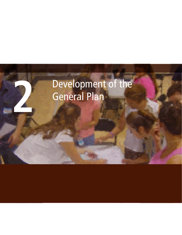# **2** Development of the General Plan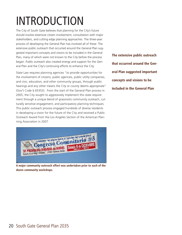# INTRODUCTION

The City of South Gate believes that planning for the City's future should involve extensive citizen involvement, consultation with major stakeholders, and cutting edge planning approaches. The three-year process of developing the General Plan has involved all of these. The extensive public outreach that occurred around the General Plan suggested important concepts and visions to be included in the General Plan, many of which were not known to the City before the process began. Public outreach also created energy and support for the General Plan and the City's continuing efforts to enhance the City.

State Law requires planning agencies "to provide opportunities for the involvement of citizens, public agencies, public utility companies, and civic, education, and other community groups, through public hearings and any other means the City or county deems appropriate" (Gov't Code § 65353). From the start of the General Plan process in 2005, the City sought to aggressively implement this state requirement through a unique blend of grassroots community outreach, culturally sensitive engagement, and participatory planning techniques. This public outreach process engaged hundreds of diverse residents in developing a vision for the future of the City and received a Public Outreach Award from the Los Angeles Section of the American Planning Association in 2007.



**A major community outreach effort was undertaken prior to each of the dozen community workshops.**

**The extensive public outreach that occurred around the General Plan suggested important concepts and visions to be included in the General Plan**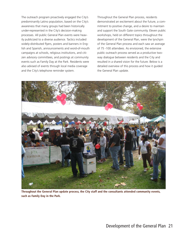The outreach program proactively engaged the City's predominantly Latino population, based on the City's awareness that many groups had been historically under-represented in the City's decision-making processes. All public General Plan events were heavily publicized to a diverse audience. Tactics included widely-distributed flyers, posters and banners in English and Spanish, announcements and word-of-mouth campaigns at schools, religious institutions, and citizen advisory committees, and postings at community events such as Family Day at the Park. Residents were also advised of events through local media coverage and the City's telephone reminder system.

Throughout the General Plan process, residents demonstrated an excitement about the future, a commitment to positive change, and a desire to maintain and support the South Gate community. Eleven public workshops, held on different topics throughout the development of the General Plan, were the lynchpin of the General Plan process and each saw an average of 75 -100 attendees. As envisioned, the extensive public outreach process served as a productive twoway dialogue between residents and the City and resulted in a shared vision for the future. Below is a detailed overview of this process and how it guided the General Plan update.



**Throughout the General Plan update process, the City staff and the consultants attended community events, such as Family Day in the Park.**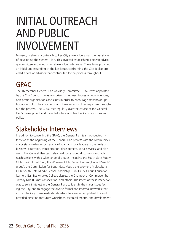## INITIAL OUTREACH AND PUBLIC INVOLVEMENT

Focused, preliminary outreach to key City stakeholders was the first stage of developing the General Plan. This involved establishing a citizen advisory committee and conducting stakeholder interviews. These tasks provided an initial understanding of the key issues confronting the City. It also provided a core of advisors that contributed to the process throughout.

### GPAC

The 16-member General Plan Advisory Committee (GPAC) was appointed by the City Council. It was comprised of representatives of local agencies, non-profit organizations and clubs in order to encourage stakeholder participation, solicit their opinions, and have access to their expertise throughout the process. The GPAC met regularly over the course of the General Plan's development and provided advice and feedback on key issues and policy.

#### Stakeholder Interviews

In addition to convening the GPAC, the General Plan team conducted interviews at the beginning of the General Plan process with the community's major stakeholders – such as city officials and local leaders in the fields of business, education, transportation, development, social services, and planning. The General Plan team also held focus group discussions and outreach sessions with a wide range of groups, including the South Gate Rotary Club, the Optimist Club, the Women's Club, Padres Unidos ('United Parents' group), the Commission for South Gate Youth, the Women's Multicultural Club, South Gate Middle School Leadership Club, LAUSD Adult Education learners, East Los Angeles College classes, the Chamber of Commerce, the Tweedy Mile Business Association, and others. The intent of these interviews was to solicit interest in the General Plan, to identify the major issues facing the City, and to engage the diverse formal and informal networks that exist in the City. These early stakeholder interviews accomplished this and provided direction for future workshops, technical reports, and development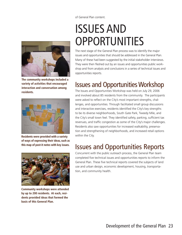of General Plan content.



**The community workshops included a variety of activities that encouraged interaction and conversation among residents.**



**Residents were provided with a variety of ways of expressing their ideas, such as this map of post-it notes with key issues.**



**Community workshops were attended by up to 200 residents. At each, residents provided ideas that formed the basis of this General Plan.**

### ISSUES AND OPPORTUNITIES

The next stage of the General Plan process was to identify the major issues and opportunities that should be addressed in the General Plan. Many of these had been suggested by the initial stakeholder interviews. They were then fleshed out by an issues and opportunities public workshop and from analysis and conclusions in a series of technical issues and opportunities reports.

#### Issues and Opportunities Workshop

The Issues and Opportunities Workshop was held on July 29, 2006 and involved about 85 residents from the community. The participants were asked to reflect on the City's most important strengths, challenges, and opportunities. Through facilitated small group discussions and interactive exercises, residents identified the City's key strengths to be its diverse neighborhoods, South Gate Park, Tweedy Mile, and the City's small town feel. They identified safety, parking, sufficient tax revenues, and traffic congestion as some of the City's major challenges. Residents also saw opportunities for increased walkability, preservation and strengthening of neighborhoods, and increased retail options within the City.

#### Issues and Opportunities Reports

Concurrent with the public outreach process, the General Plan team completed five technical issues and opportunities reports to inform the General Plan. These five technical reports covered the subjects of land use and urban design, economic development, housing, transportation, and community health.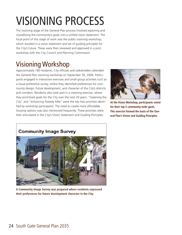# VISIONING PROCESS

The visioning stage of the General Plan process involved exploring and crystallizing the community's goals into a unified vision statement. The focal point of this stage of work was the public visioning workshop, which resulted in a vision statement and set of guiding principles for the City's future. These were then reviewed and approved in a joint workshop with the City Council and Planning Commission.

### Visioning Workshop

Approximately 180 residents, City officials and stakeholders attended the General Plan visioning workshop on September 30, 2006. Participants engaged in interactive exercises and small group activities such as a visual preference survey, where they identified preferences for community design, future development, and character of the City's districts and corridors. Residents also took part in a visioning exercise, where they prioritized goals for the City over the next 20 years. "Greening the City" and "enhancing Tweedy Mile" were the top two priorities identified by workshop participants. The need to create more affordable housing options was also mentioned frequently. These priorities were then articulated in the City's Vision Statement and Guiding Principles.



**At the Vision Workshop, participants voted for their top 5 community-wide goals. This exercise formed the basis of the General Plan's Vision and Guiding Principles.**



**A Community Image Survey was prepared where residents expressed their preferences for future development character in the City.**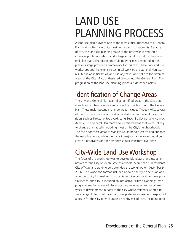## LAND USE PLANNING PROCESS

A land use plan provides one of the most critical functions of a General Plan, and is often one of its most contentious components. Because of this, the land use planning stage of the process involved three intensive public workshops and a large amount of work by the General Plan team. The Vision and Guiding Principles generated in the previous stage provided a framework for this task. These two land use workshops and the extensive technical work by the General Plan team resulted in an initial set of land use objectives and policies for different areas of the City. Most of these fed directly into the General Plan. The progression of the land use planning process is described below.

#### Identification of Change Areas

The City and General Plan team first identified areas in the City that were likely to change significantly over the time horizon of the General Plan. These major potential change areas included Tweedy Mile, several of the City's commercial and industrial districts, and several major corridors such as Firestone Boulevard, Long Beach Boulevard, and Atlantic Avenue. The General Plan team also identified areas that were unlikely to change dramatically, including most of the City's neighborhoods. The focus for these areas of stability would be to preserve and enhance the neighborhoods, while the focus in major change areas would be to create a positive vision for how they should transform over time.

#### City-Wide Land Use Workshop

The focus of this workshop was to develop big-picture land use alternatives for the City of South Gate as a whole. More than 100 residents, City officials and stakeholders attended the workshop on December 9, 2006. The workshop format included a town hall-style discussion and an opportunity for feedback on the vision, direction, and land use possibilities for the City. It included an interactive "citizen planning" mapping exercise that involved placing game pieces representing different types of development in parts of the City where residents wanted to see change. In terms of major land use preferences, residents expressed a desire for the City to encourage a healthy mix of uses, including retail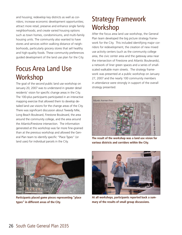and housing; redevelop key districts as well as corridors; increase economic development opportunities; attract more retail; preserve and enhance single family neighborhoods; and create varied housing options such as town homes, condominiums, and multi-family housing units. The community also wanted to have stores and services within walking distance of neighborhoods, particularly grocery stores that sell healthy and high-quality foods. These community preferences guided development of the land use plan for the City.

#### Focus Area Land Use Workshop

The goal of the second public land use workshop on January 20, 2007 was to understand in greater detail residents' vision for specific change areas in the City. The 100-plus participants participated in an interactive mapping exercise that allowed them to develop detailed land use visions for the change areas of the City. There was significant discussion about Tweedy Mile, Long Beach Boulevard, Firestone Boulevard, the area around the community college, and the area around the Atlantic/Firestone intersection. The information generated at this workshop was far more fine-grained than at the previous workshop and allowed the General Plan team to identify specific "Place Types" (or land uses) for individual parcels in the City.



After the focus area land use workshop, the General Plan team developed the big picture strategy framework for the City. This included identifying major corridors for redevelopment, the creation of new mixed use activity centers (such as the community college area, the civic center area and the gateway area near the intersection of Firestone and Atlantic Boulevards), a network of liner green spaces and a series of smallscaled walkable main streets. The strategy framework was presented at a public workshop on January 27, 2007 and the nearly 100 community members in attendance were strongly in support of the overall strategy presented.



**The result of the workshop was a land use vision for various districts and corridors within the City.**



**Participants placed game pieces representing "place types" in different areas of the City.**



**At all workshops, participants reported back a summary of the results of small group discussions.**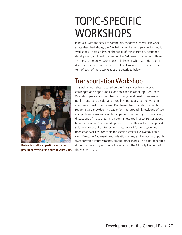## TOPIC-SPECIFIC **WORKSHOPS**

In parallel with the series of community congress General Plan workshops described above, the City held a number of topic-specific public workshops. These addressed the topics of transportation, economic development, and healthy communities (addressed in a series of three "healthy community" workshops), all three of which are addressed in dedicated elements of the General Plan Elements. The results and content of each of these workshops are described below.

#### Transportation Workshop



**Residents of all ages participated in the process of creating the future of South Gate.** This public workshop focused on the City's major transportation challenges and opportunities, and solicited resident input on them. Workshop participants emphasized the general need for expanded public transit and a safer and more inviting pedestrian network. In coordination with the General Plan team's transportation consultants, residents also provided invaluable "on-the-ground" knowledge of specific problem areas and circulation patterns in the City. In many cases, discussions of these areas and patterns resulted in a consensus about how the General Plan should approach them. This included proposed solutions for specific intersections, locations of future bicycle and pedestrian facilities, concepts for specific streets like Tweedy Boulevard, Firestone Boulevard, and Atlantic Avenue, and locations of public transportation improvements, among other things. The data generated during this working session fed directly into the Mobility Element of the General Plan.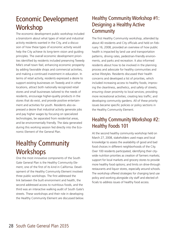### Economic Development **Workshop**

The economic development public workshop included a brainstorm about what types of retail and industrial activity residents wanted in the City, and a discussion of how these types of economic activity would help the City achieve its long-term vision and guiding principles. The overall economic development priorities identified by residents included preserving Tweedy Mile's small town feel, enhancing economic prosperity by adding favorable shops and commercial activities, and making a continued investment in education. In terms of retail activity, residents expressed a desire to support existing businesses on Tweedy and in other locations, attract both nationally recognized retail stores and small businesses tailored to the needs of residents, encourage higher-quality products in the stores that do exist, and provide positive entertainment and activities for youth. Residents also expressed a desire that industrial activity generate jobs and pay higher wages by focusing on specialized technologies, be separated from residential areas, and be environmentally friendly. The data generated during this working session fed directly into the Economic Element of the General Plan.

#### Healthy Community **Workshops**

One the most innovative components of the South Gate General Plan is the Healthy Community Element, one of the first of its kind in California. Development of the Healthy Community Element involved three public workshops. The first addressed the link between the built environment and health, the second addressed access to nutritious foods, and the third was an interactive walking audit of South Gate's streets. These workshops and their role in developing the Healthy Community Element are discussed below.

#### Healthy Community Workshop #1: Designing a Healthy Active **Community**

The first Healthy Community workshop, attended by about 40 residents and City officials and held on February 16, 2008, provided an overview of how public health is impacted by land use and transportation patterns, driving rates, pedestrian-friendly environments, and parks and recreation. It also informed residents about how to be involved in the planning process and advocate for healthy communities and active lifestyles. Residents discussed their health concerns and developed a list of priorities, which included increasing access to healthy foods; improving the cleanliness, aesthetics, and safety of streets; ensuring closer proximity to local services; providing more recreational activities; creating less traffic; and developing community gardens. All of these priority issues became specific policies or policy sections in the Healthy Community Element.

#### Healthy Community Workshop #2: Healthy Foods 101

At the second healthy community workshop held on March 27, 2008, stakeholders used maps and local knowledge to assess the availability of good and bad food choices in different neighborhoods of the City. Over 100 residents participated, identifying their citywide nutrition priorities as creation of farmers markets; support for local markets and grocery stores to provide more healthy food options; and limits on drive-through restaurants and liquor stores, especially around schools. The workshop offered strategies for changing land use policy and working alongside city staff and elected officials to address issues of healthy food access.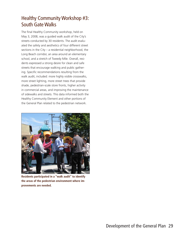#### Healthy Community Workshop #3: South Gate Walks

The final Healthy Community workshop, held on May 3, 2008, was a guided walk audit of the City's streets conducted by 30 residents. The audit evaluated the safety and aesthetics of four different street sections in the City – a residential neighborhood, the Long Beach corridor, an area around an elementary school, and a stretch of Tweedy Mile. Overall, residents expressed a strong desire for clean and safe streets that encourage walking and public gathering. Specific recommendations resulting from the walk audit, included: more highly visible crosswalks, more street lighting, more street trees that provide shade, pedestrian-scale store fronts, higher activity in commercial areas, and improving the maintenance of sidewalks and streets. This data informed both the Healthy Community Element and other portions of the General Plan related to the pedestrian network.



**Residents participated in a "walk audit" to identify the areas of the pedestrian environment where improvements are needed.**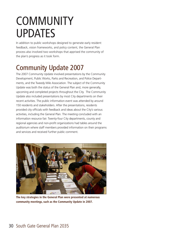## **COMMUNITY** UPDATES

In addition to public workshops designed to generate early resident feedback, vision frameworks, and policy content, the General Plan process also involved two workshops that apprised the community of the plan's progress as it took form.

#### Community Update 2007

The 2007 Community Update involved presentations by the Community Development, Public Works, Parks and Recreation, and Police Departments, and the Tweedy Mile Association. The subject of the Community Update was both the status of the General Plan and, more generally, upcoming and completed projects throughout the City. The Community Update also included presentations by most City departments on their recent activities. The public information event was attended by around 150 residents and stakeholders. After the presentations, residents provided city officials with feedback and ideas about the City's various activities, including the General Plan. The meeting concluded with an information resource fair. Twenty-four City departments, county and regional agencies and non-profit organizations had tables around the auditorium where staff members provided information on their programs and services and received further public comment.



**The key strategies in the General Plan were presented at numerous community meetings, such as the Community Update in 2007.**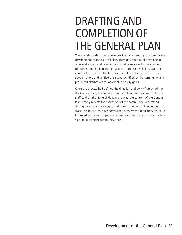## DRAFTING AND COMPLETION OF THE GENERAL PLAN

The workshops described above provided an orienting structure for the development of the General Plan. They generated public ownership, an overall vision, and direction and invaluable ideas for the creation of policies and implementation actions in the General Plan. Over the course of the project, the technical experts involved in the process supplemented and verified the issues identified by the community and presented alternatives for accomplishing city goals.

Once this process had defined the direction and policy framework for the General Plan, the General Plan consultant team worked with City staff to draft the General Plan. In this way, the content of the General Plan directly reflects the aspirations of the community, understood through a variety of strategies and from a number of different perspectives. This public input has formulated a policy and regulatory structure, informed by the most up-to-date best practices in the planning profession, to implement community goals.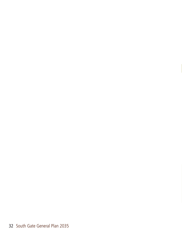South Gate General Plan 2035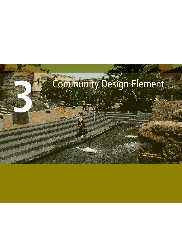